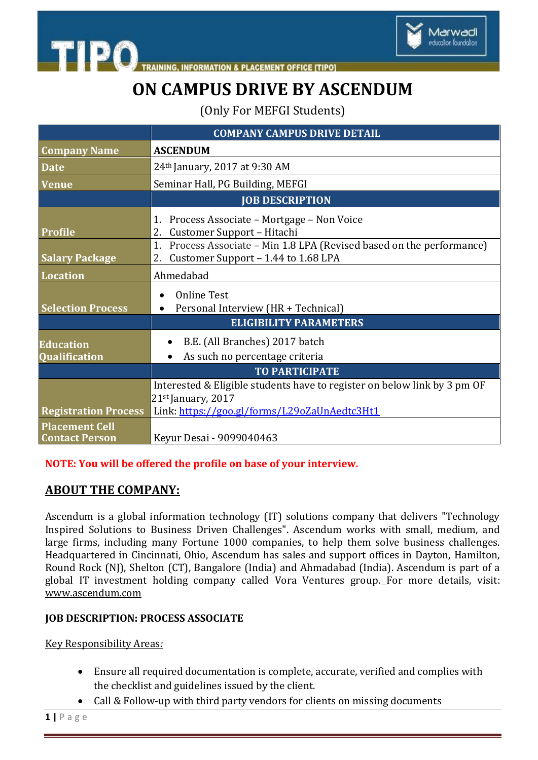

**TIPO IING. INFORMATION & PLACEMENT OFFICE [TIPO]** 

## **ON CAMPUS DRIVE BY ASCENDUM**

(Only For MEFGI Students)

|                                                                               | <b>COMPANY CAMPUS DRIVE DETAIL</b>                                                                                    |
|-------------------------------------------------------------------------------|-----------------------------------------------------------------------------------------------------------------------|
| <b>Company Name</b>                                                           | <b>ASCENDUM</b>                                                                                                       |
| <b>Date</b>                                                                   | 24th January, 2017 at 9:30 AM                                                                                         |
| <b>Venue</b>                                                                  | Seminar Hall, PG Building, MEFGI                                                                                      |
|                                                                               | <b>JOB DESCRIPTION</b>                                                                                                |
| <b>Profile</b>                                                                | Process Associate - Mortgage - Non Voice<br>1.<br>Customer Support - Hitachi<br>2.                                    |
| <b>Salary Package</b>                                                         | Process Associate - Min 1.8 LPA (Revised based on the performance)<br>1.<br>Customer Support - 1.44 to 1.68 LPA<br>2. |
| <b>Location</b>                                                               | Ahmedabad                                                                                                             |
| <b>Selection Process</b>                                                      | <b>Online Test</b><br>Personal Interview (HR + Technical)<br>$\bullet$                                                |
|                                                                               | <b>ELIGIBILITY PARAMETERS</b>                                                                                         |
| <b>Education</b><br>Qualification                                             | B.E. (All Branches) 2017 batch<br>As such no percentage criteria                                                      |
|                                                                               | <b>TO PARTICIPATE</b>                                                                                                 |
|                                                                               | Interested & Eligible students have to register on below link by 3 pm OF<br>$21st$ January, 2017                      |
| <b>Registration Process</b><br><b>Placement Cell</b><br><b>Contact Person</b> | Link: https://goo.gl/forms/L29oZaUnAedtc3Ht1<br>Keyur Desai - 9099040463                                              |

#### **NOTE: You will be offered the profile on base of your interview.**

### **ABOUT THE COMPANY:**

Ascendum is a global information technology (IT) solutions company that delivers "Technology Inspired Solutions to Business Driven Challenges". Ascendum works with small, medium, and large firms, including many Fortune 1000 companies, to help them solve business challenges. Headquartered in Cincinnati, Ohio, Ascendum has sales and support offices in Dayton, Hamilton, Round Rock (NJ), Shelton (CT), Bangalore (India) and Ahmadabad (India). Ascendum is part of a global IT investment holding company called Vora Ventures group. For more details, visit: [www.ascendum.com](http://www.ascendum.com/)

#### **JOB DESCRIPTION: PROCESS ASSOCIATE**

Key Responsibility Areas*:*

- Ensure all required documentation is complete, accurate, verified and complies with the checklist and guidelines issued by the client.
- Call & Follow-up with third party vendors for clients on missing documents